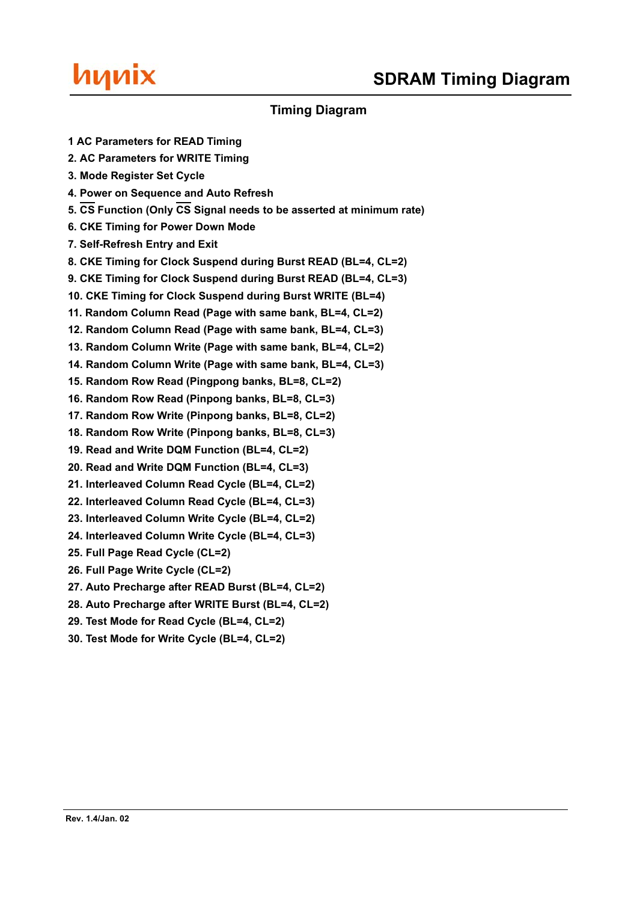

## **Timing Diagram**

**1 AC Parameters for READ Timing**

- **2. AC Parameters for WRITE Timing**
- **3. Mode Register Set Cycle**
- **4. Power on Sequence and Auto Refresh**
- **5. CS Function (Only CS Signal needs to be asserted at minimum rate)**
- **6. CKE Timing for Power Down Mode**
- **7. Self-Refresh Entry and Exit**
- **8. CKE Timing for Clock Suspend during Burst READ (BL=4, CL=2)**
- **9. CKE Timing for Clock Suspend during Burst READ (BL=4, CL=3)**
- **10. CKE Timing for Clock Suspend during Burst WRITE (BL=4)**
- **11. Random Column Read (Page with same bank, BL=4, CL=2)**
- **12. Random Column Read (Page with same bank, BL=4, CL=3)**
- **13. Random Column Write (Page with same bank, BL=4, CL=2)**
- **14. Random Column Write (Page with same bank, BL=4, CL=3)**
- **15. Random Row Read (Pingpong banks, BL=8, CL=2)**
- **16. Random Row Read (Pinpong banks, BL=8, CL=3)**
- **17. Random Row Write (Pinpong banks, BL=8, CL=2)**
- **18. Random Row Write (Pinpong banks, BL=8, CL=3)**
- **19. Read and Write DQM Function (BL=4, CL=2)**
- **20. Read and Write DQM Function (BL=4, CL=3)**
- **21. Interleaved Column Read Cycle (BL=4, CL=2)**
- **22. Interleaved Column Read Cycle (BL=4, CL=3)**
- **23. Interleaved Column Write Cycle (BL=4, CL=2)**
- **24. Interleaved Column Write Cycle (BL=4, CL=3)**
- **25. Full Page Read Cycle (CL=2)**
- **26. Full Page Write Cycle (CL=2)**
- **27. Auto Precharge after READ Burst (BL=4, CL=2)**
- **28. Auto Precharge after WRITE Burst (BL=4, CL=2)**
- **29. Test Mode for Read Cycle (BL=4, CL=2)**
- **30. Test Mode for Write Cycle (BL=4, CL=2)**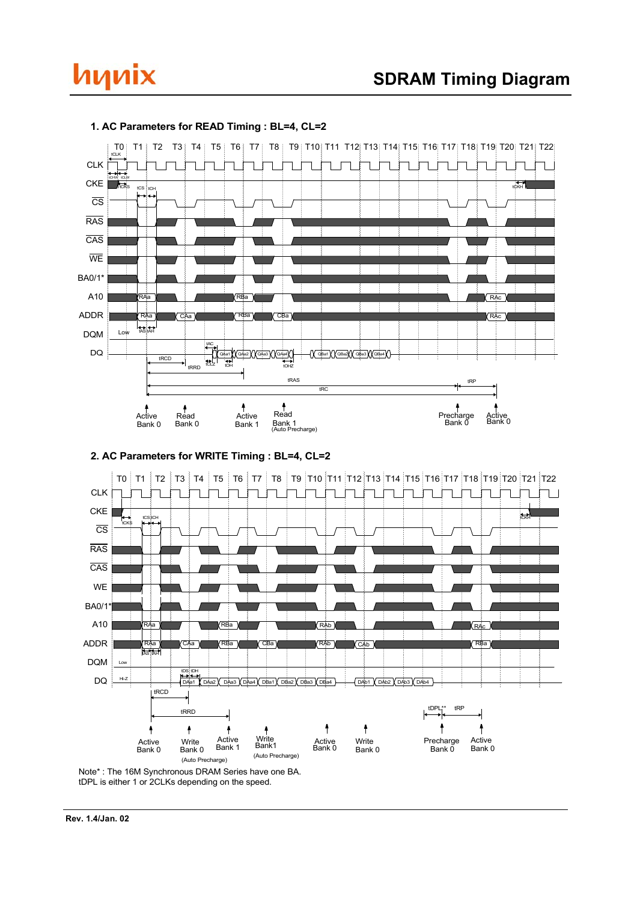



## **1. AC Parameters for READ Timing : BL=4, CL=2**





Note\* : The 16M Synchronous DRAM Series have one BA. tDPL is either 1 or 2CLKs depending on the speed.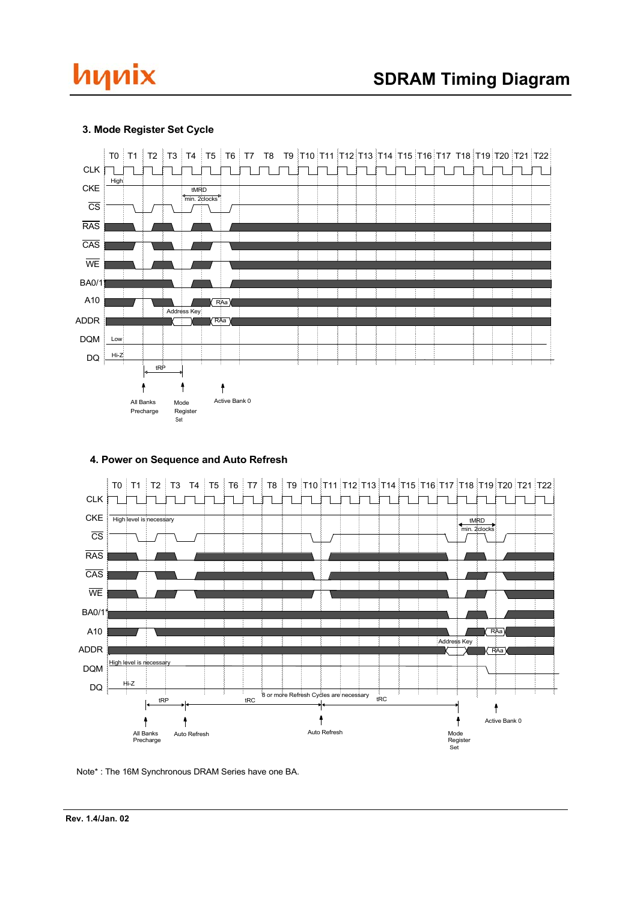# hynix

## **3. Mode Register Set Cycle**



#### **4. Power on Sequence and Auto Refresh**



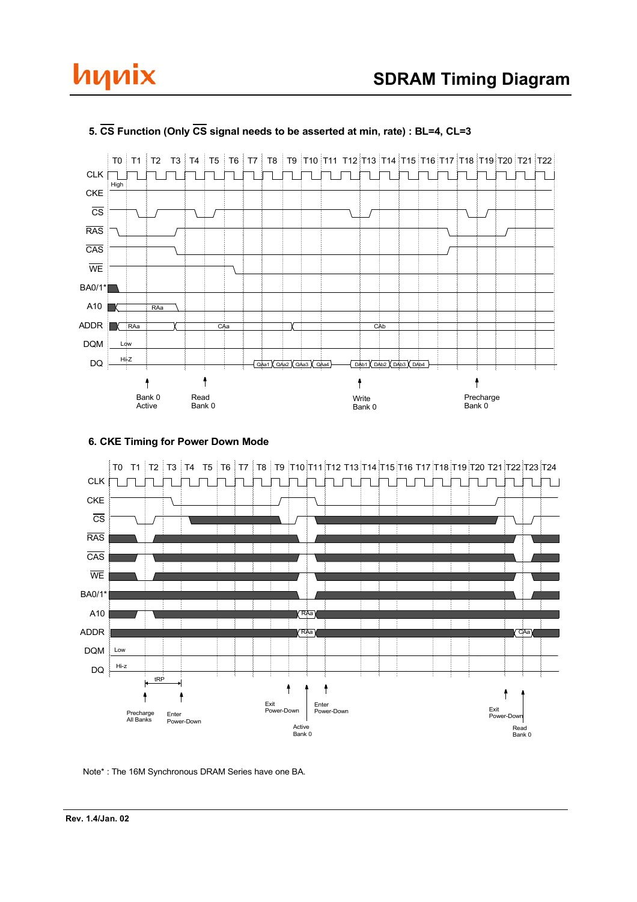# hynix



## **5. CS Function (Only CS signal needs to be asserted at min, rate) : BL=4, CL=3**

## **6. CKE Timing for Power Down Mode**

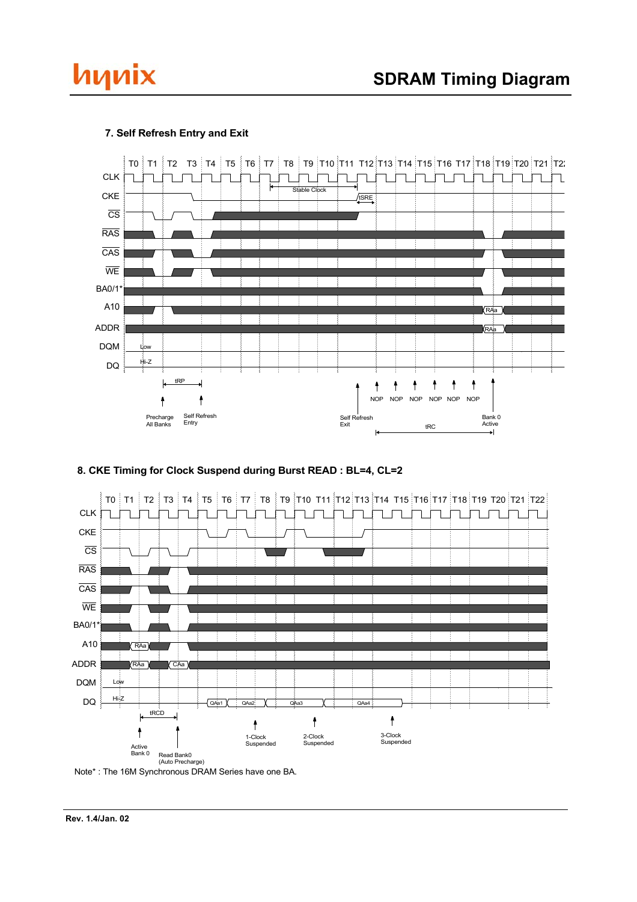



## **7. Self Refresh Entry and Exit**





Note\* : The 16M Synchronous DRAM Series have one BA.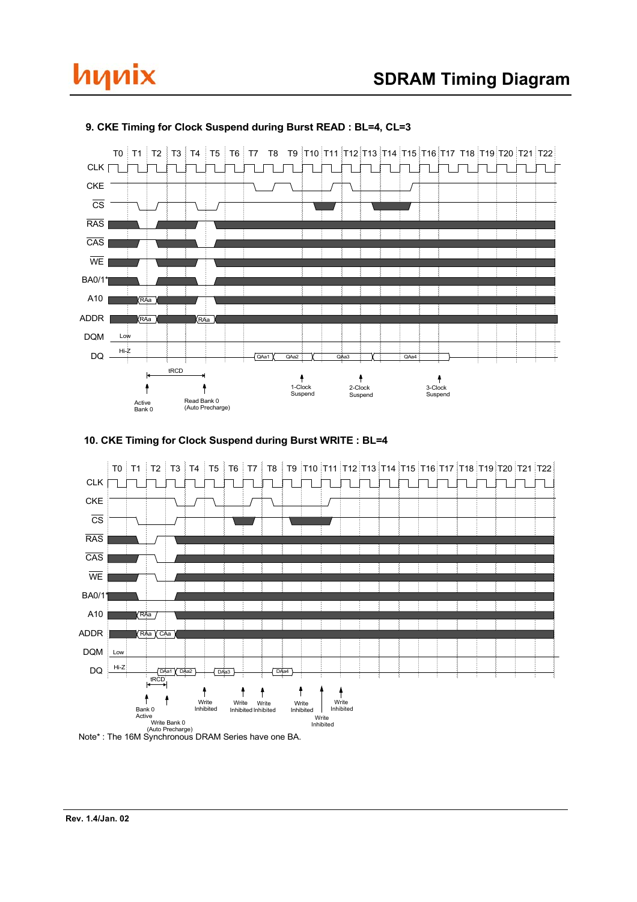



#### **9. CKE Timing for Clock Suspend during Burst READ : BL=4, CL=3**





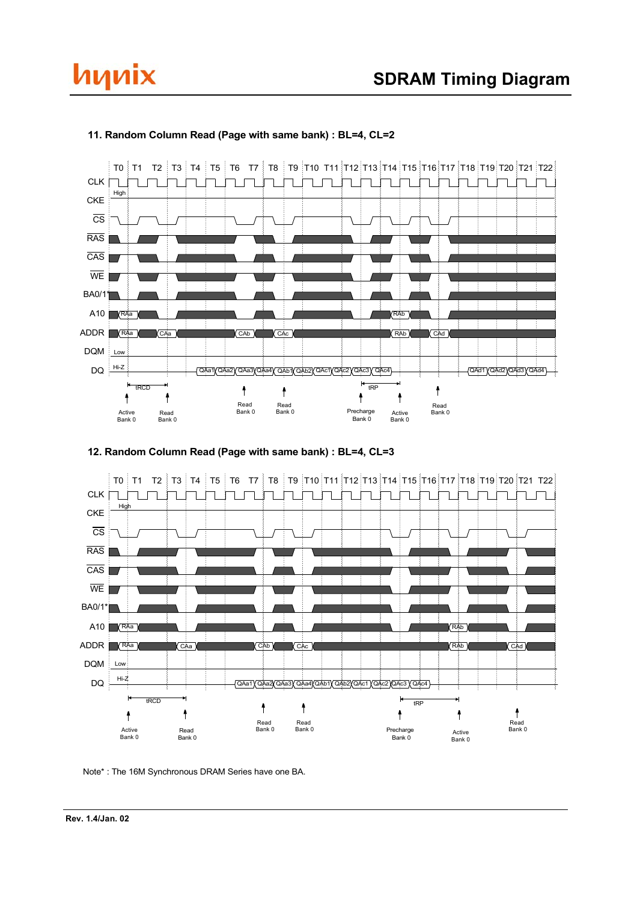



#### **11. Random Column Read (Page with same bank) : BL=4, CL=2**



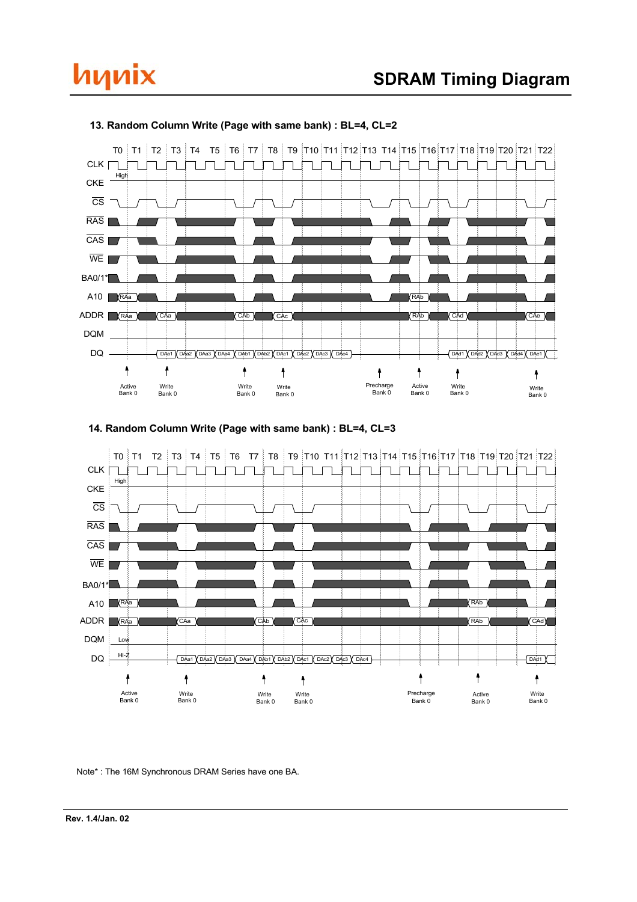## hynix



#### **13. Random Column Write (Page with same bank) : BL=4, CL=2**

## **14. Random Column Write (Page with same bank) : BL=4, CL=3**

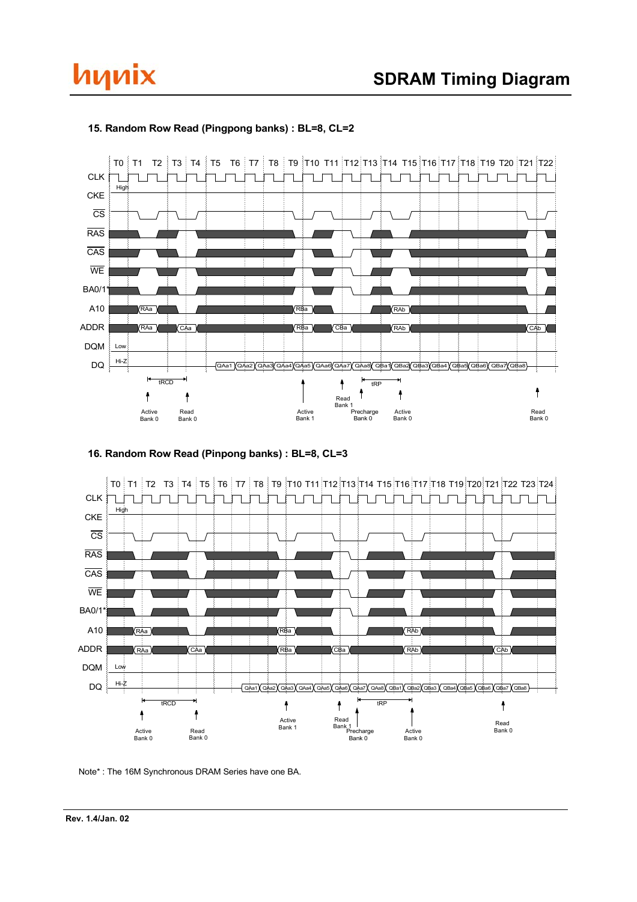



#### **15. Random Row Read (Pingpong banks) : BL=8, CL=2**

**16. Random Row Read (Pinpong banks) : BL=8, CL=3**



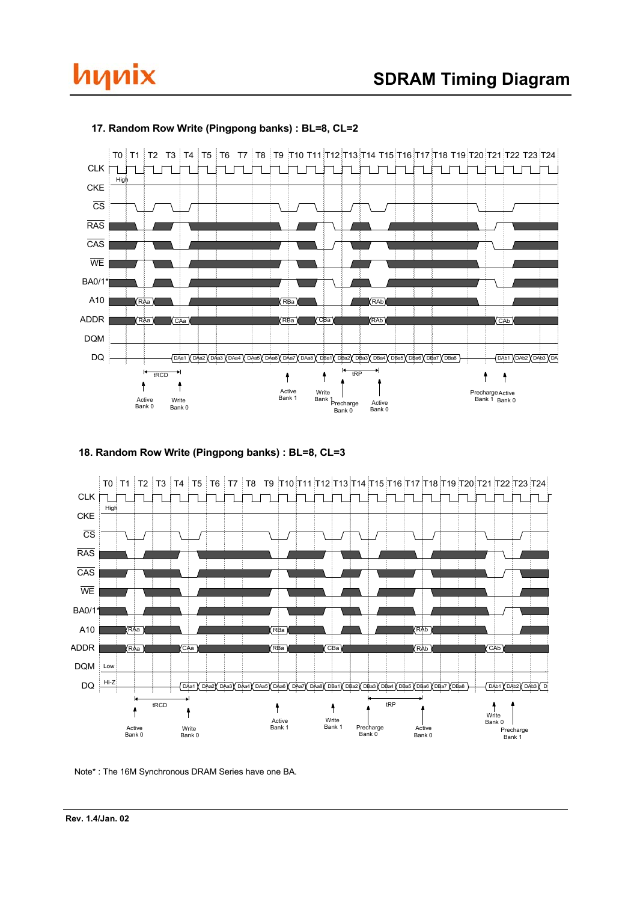

#### **17. Random Row Write (Pingpong banks) : BL=8, CL=2**

hynix

#### **18. Random Row Write (Pingpong banks) : BL=8, CL=3**



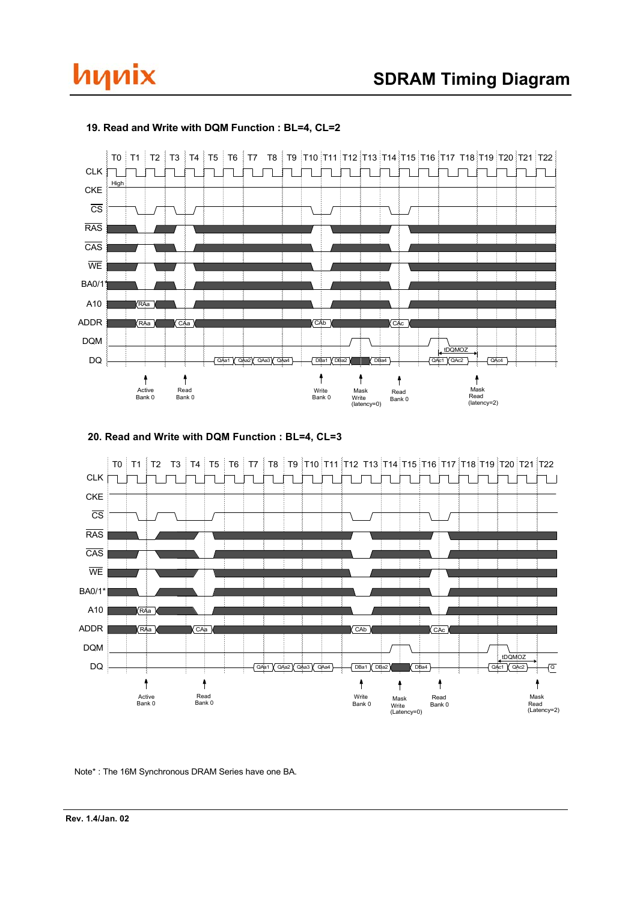



#### **19. Read and Write with DQM Function : BL=4, CL=2**



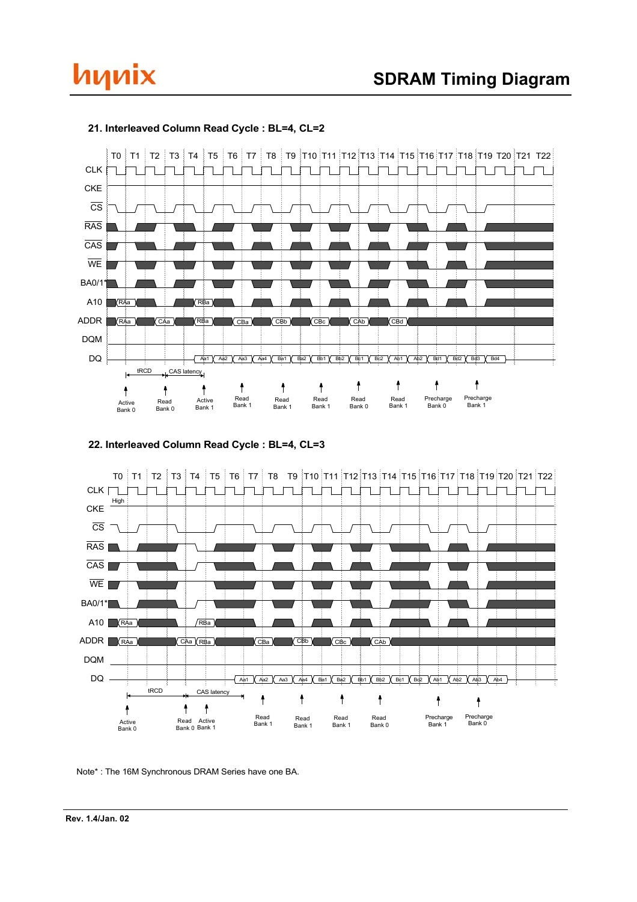



#### **21. Interleaved Column Read Cycle : BL=4, CL=2**

## **22. Interleaved Column Read Cycle : BL=4, CL=3**

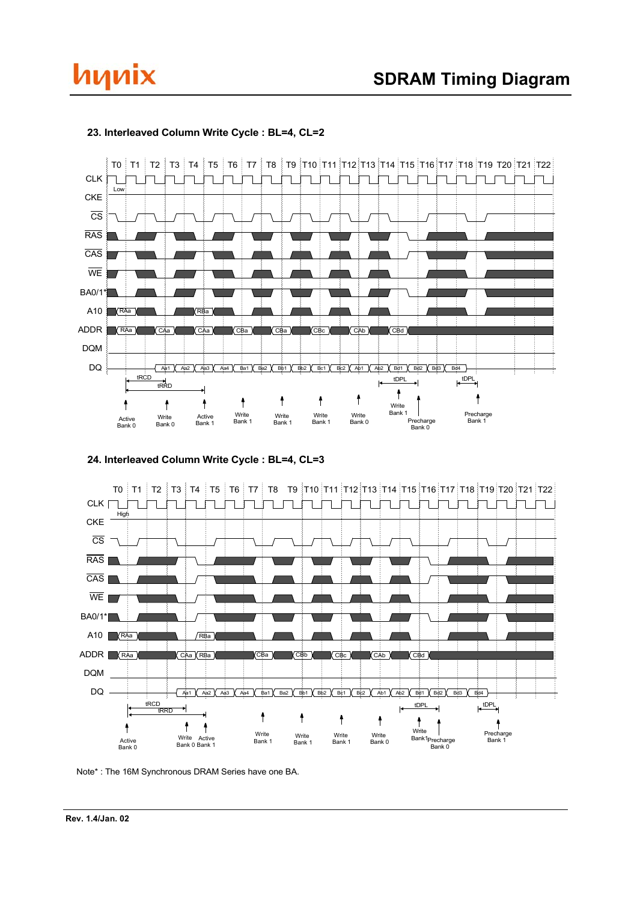



### **23. Interleaved Column Write Cycle : BL=4, CL=2**



**24. Interleaved Column Write Cycle : BL=4, CL=3**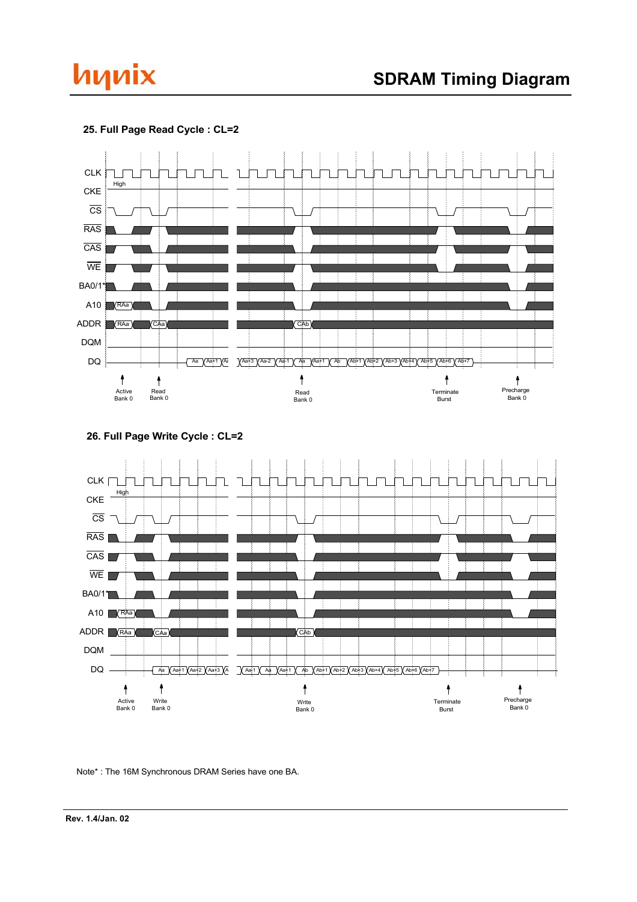



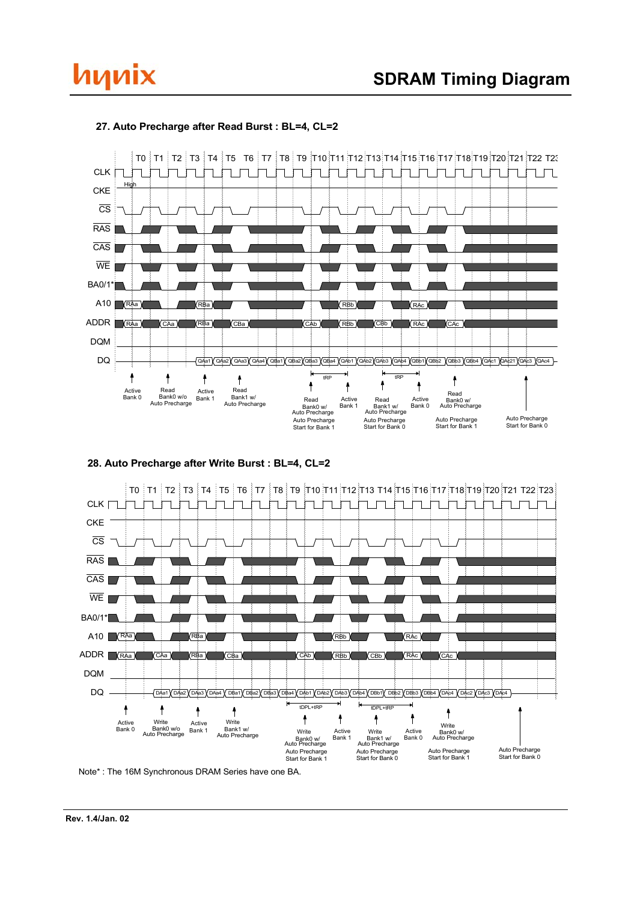



### **27. Auto Precharge after Read Burst : BL=4, CL=2**



**28. Auto Precharge after Write Burst : BL=4, CL=2**